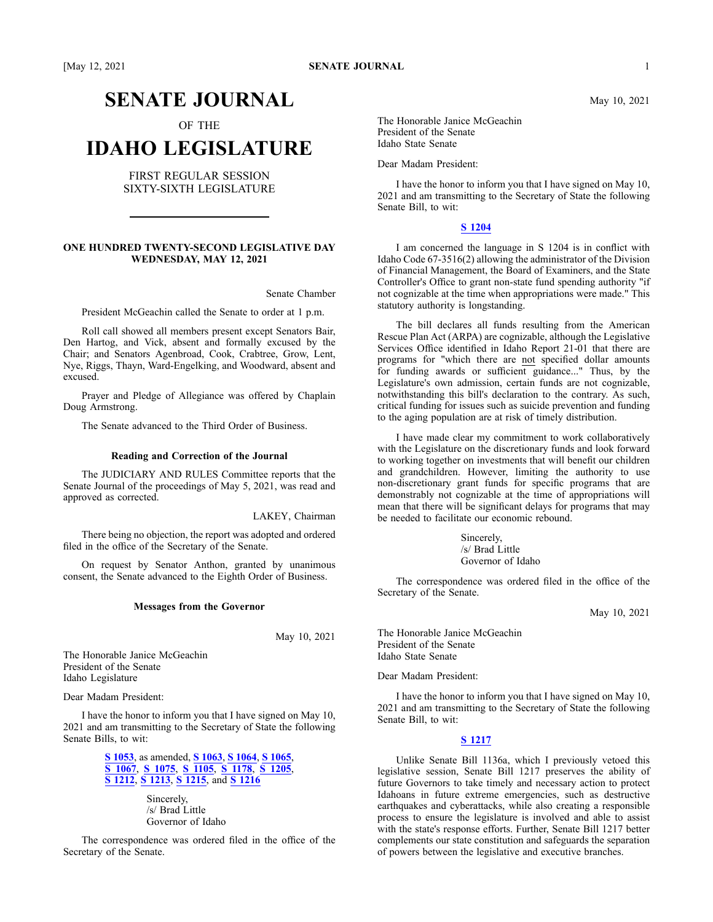# **SENATE JOURNAL**

OF THE

# **IDAHO LEGISLATURE**

FIRST REGULAR SESSION SIXTY-SIXTH LEGISLATURE

# **ONE HUNDRED TWENTY-SECOND LEGISLATIVE DAY WEDNESDAY, MAY 12, 2021**

Senate Chamber

President McGeachin called the Senate to order at 1 p.m.

Roll call showed all members presen<sup>t</sup> excep<sup>t</sup> Senators Bair, Den Hartog, and Vick, absent and formally excused by the Chair; and Senators Agenbroad, Cook, Crabtree, Grow, Lent, Nye, Riggs, Thayn, Ward-Engelking, and Woodward, absent and excused.

Prayer and Pledge of Allegiance was offered by Chaplain Doug Armstrong.

The Senate advanced to the Third Order of Business.

#### **Reading and Correction of the Journal**

The JUDICIARY AND RULES Committee reports that the Senate Journal of the proceedings of May 5, 2021, was read and approved as corrected.

LAKEY, Chairman

There being no objection, the repor<sup>t</sup> was adopted and ordered filed in the office of the Secretary of the Senate.

On reques<sup>t</sup> by Senator Anthon, granted by unanimous consent, the Senate advanced to the Eighth Order of Business.

#### **Messages from the Governor**

May 10, 2021

The Honorable Janice McGeachin President of the Senate Idaho Legislature

Dear Madam President:

I have the honor to inform you that I have signed on May 10, 2021 and am transmitting to the Secretary of State the following Senate Bills, to wit:

> **S [1053](https://lso-legwebwp.lso.local/sessioninfo/2021/legislation/S1053)**, as amended, **S [1063](https://lso-legwebwp.lso.local/sessioninfo/2021/legislation/S1063)**, **S [1064](https://lso-legwebwp.lso.local/sessioninfo/2021/legislation/S1064)**, **S [1065](https://lso-legwebwp.lso.local/sessioninfo/2021/legislation/S1065)**, **S [1067](https://lso-legwebwp.lso.local/sessioninfo/2021/legislation/S1067)**, **S [1075](https://lso-legwebwp.lso.local/sessioninfo/2021/legislation/S1075)**, **S [1105](https://lso-legwebwp.lso.local/sessioninfo/2021/legislation/S1105)**, **S [1178](https://lso-legwebwp.lso.local/sessioninfo/2021/legislation/S1178)**, **S [1205](https://lso-legwebwp.lso.local/sessioninfo/2021/legislation/S1205)**, **S [1212](https://lso-legwebwp.lso.local/sessioninfo/2021/legislation/S1212)**, **S [1213](https://lso-legwebwp.lso.local/sessioninfo/2021/legislation/S1213)**, **S [1215](https://lso-legwebwp.lso.local/sessioninfo/2021/legislation/S1215)**, and **S [1216](https://lso-legwebwp.lso.local/sessioninfo/2021/legislation/S1216)**

> > Sincerely, /s/ Brad Little Governor of Idaho

The correspondence was ordered filed in the office of the Secretary of the Senate.

The Honorable Janice McGeachin President of the Senate Idaho State Senate

Dear Madam President:

I have the honor to inform you that I have signed on May 10, 2021 and am transmitting to the Secretary of State the following Senate Bill, to wit:

# **S [1204](https://lso-legwebwp.lso.local/sessioninfo/2021/legislation/S1204)**

I am concerned the language in S 1204 is in conflict with Idaho Code 67-3516(2) allowing the administrator of the Division of Financial Management, the Board of Examiners, and the State Controller's Office to gran<sup>t</sup> non-state fund spending authority "if not cognizable at the time when appropriations were made." This statutory authority is longstanding.

The bill declares all funds resulting from the American Rescue Plan Act (ARPA) are cognizable, although the Legislative Services Office identified in Idaho Report 21-01 that there are programs for "which there are not specified dollar amounts for funding awards or sufficient guidance..." Thus, by the Legislature's own admission, certain funds are not cognizable, notwithstanding this bill's declaration to the contrary. As such, critical funding for issues such as suicide prevention and funding to the aging population are at risk of timely distribution.

I have made clear my commitment to work collaboratively with the Legislature on the discretionary funds and look forward to working together on investments that will benefit our children and grandchildren. However, limiting the authority to use non-discretionary gran<sup>t</sup> funds for specific programs that are demonstrably not cognizable at the time of appropriations will mean that there will be significant delays for programs that may be needed to facilitate our economic rebound.

> Sincerely, /s/ Brad Little Governor of Idaho

The correspondence was ordered filed in the office of the Secretary of the Senate.

May 10, 2021

The Honorable Janice McGeachin President of the Senate Idaho State Senate

Dear Madam President:

I have the honor to inform you that I have signed on May 10, 2021 and am transmitting to the Secretary of State the following Senate Bill, to wit:

## **S [1217](https://lso-legwebwp.lso.local/sessioninfo/2021/legislation/S1217)**

Unlike Senate Bill 1136a, which I previously vetoed this legislative session, Senate Bill 1217 preserves the ability of future Governors to take timely and necessary action to protect Idahoans in future extreme emergencies, such as destructive earthquakes and cyberattacks, while also creating <sup>a</sup> responsible process to ensure the legislature is involved and able to assist with the state's response efforts. Further, Senate Bill 1217 better complements our state constitution and safeguards the separation of powers between the legislative and executive branches.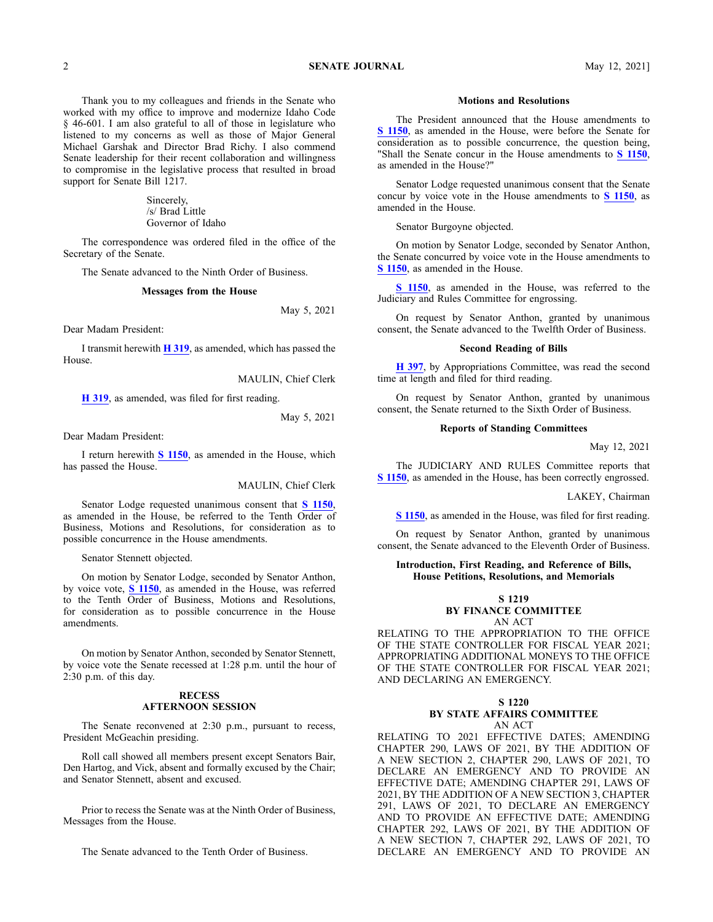Thank you to my colleagues and friends in the Senate who worked with my office to improve and modernize Idaho Code § 46-601. I am also grateful to all of those in legislature who listened to my concerns as well as those of Major General Michael Garshak and Director Brad Richy. I also commend Senate leadership for their recent collaboration and willingness to compromise in the legislative process that resulted in broad suppor<sup>t</sup> for Senate Bill 1217.

> Sincerely, /s/ Brad Little Governor of Idaho

The correspondence was ordered filed in the office of the Secretary of the Senate.

The Senate advanced to the Ninth Order of Business.

#### **Messages from the House**

May 5, 2021

Dear Madam President:

I transmit herewith **H [319](https://legislature.idaho.gov/sessioninfo/2021/legislation/H0319)**, as amended, which has passed the House.

MAULIN, Chief Clerk

**H [319](https://legislature.idaho.gov/sessioninfo/2021/legislation/H0319)**, as amended, was filed for first reading.

May 5, 2021

Dear Madam President:

I return herewith **S [1150](https://lso-legwebwp.lso.local/sessioninfo/2021/legislation/S1150)**, as amended in the House, which has passed the House.

MAULIN, Chief Clerk

Senator Lodge requested unanimous consent that **S [1150](https://lso-legwebwp.lso.local/sessioninfo/2021/legislation/S1150)**, as amended in the House, be referred to the Tenth Order of Business, Motions and Resolutions, for consideration as to possible concurrence in the House amendments.

Senator Stennett objected.

On motion by Senator Lodge, seconded by Senator Anthon, by voice vote, **S [1150](https://lso-legwebwp.lso.local/sessioninfo/2021/legislation/S1150)**, as amended in the House, was referred to the Tenth Order of Business, Motions and Resolutions, for consideration as to possible concurrence in the House amendments.

On motion by Senator Anthon, seconded by Senator Stennett, by voice vote the Senate recessed at 1:28 p.m. until the hour of 2:30 p.m. of this day.

# **RECESS AFTERNOON SESSION**

The Senate reconvened at 2:30 p.m., pursuan<sup>t</sup> to recess, President McGeachin presiding.

Roll call showed all members presen<sup>t</sup> excep<sup>t</sup> Senators Bair, Den Hartog, and Vick, absent and formally excused by the Chair; and Senator Stennett, absent and excused.

Prior to recess the Senate was at the Ninth Order of Business, Messages from the House.

The Senate advanced to the Tenth Order of Business.

#### **Motions and Resolutions**

The President announced that the House amendments to **S [1150](https://lso-legwebwp.lso.local/sessioninfo/2021/legislation/S1150)**, as amended in the House, were before the Senate for consideration as to possible concurrence, the question being, "Shall the Senate concur in the House amendments to **S [1150](https://lso-legwebwp.lso.local/sessioninfo/2021/legislation/S1150)**, as amended in the House?"

Senator Lodge requested unanimous consent that the Senate concur by voice vote in the House amendments to **S [1150](https://lso-legwebwp.lso.local/sessioninfo/2021/legislation/S1150)**, as amended in the House.

Senator Burgoyne objected.

On motion by Senator Lodge, seconded by Senator Anthon, the Senate concurred by voice vote in the House amendments to **S [1150](https://lso-legwebwp.lso.local/sessioninfo/2021/legislation/S1150)**, as amended in the House.

**S [1150](https://lso-legwebwp.lso.local/sessioninfo/2021/legislation/S1150)**, as amended in the House, was referred to the Judiciary and Rules Committee for engrossing.

On reques<sup>t</sup> by Senator Anthon, granted by unanimous consent, the Senate advanced to the Twelfth Order of Business.

#### **Second Reading of Bills**

**H [397](https://lso-legwebwp.lso.local/sessioninfo/2021/legislation/H0397)**, by Appropriations Committee, was read the second time at length and filed for third reading.

On reques<sup>t</sup> by Senator Anthon, granted by unanimous consent, the Senate returned to the Sixth Order of Business.

# **Reports of Standing Committees**

May 12, 2021

The JUDICIARY AND RULES Committee reports that **S [1150](https://lso-legwebwp.lso.local/sessioninfo/2021/legislation/S1150)**, as amended in the House, has been correctly engrossed.

LAKEY, Chairman

**S [1150](https://lso-legwebwp.lso.local/sessioninfo/2021/legislation/S1150)**, as amended in the House, was filed for first reading.

On reques<sup>t</sup> by Senator Anthon, granted by unanimous consent, the Senate advanced to the Eleventh Order of Business.

## **Introduction, First Reading, and Reference of Bills, House Petitions, Resolutions, and Memorials**

**S 1219**

**BY FINANCE COMMITTEE**

AN ACT RELATING TO THE APPROPRIATION TO THE OFFICE OF THE STATE CONTROLLER FOR FISCAL YEAR 2021; APPROPRIATING ADDITIONAL MONEYS TO THE OFFICE OF THE STATE CONTROLLER FOR FISCAL YEAR 2021;

## **S 1220 BY STATE AFFAIRS COMMITTEE** AN ACT

AND DECLARING AN EMERGENCY.

RELATING TO 2021 EFFECTIVE DATES; AMENDING CHAPTER 290, LAWS OF 2021, BY THE ADDITION OF A NEW SECTION 2, CHAPTER 290, LAWS OF 2021, TO DECLARE AN EMERGENCY AND TO PROVIDE AN EFFECTIVE DATE; AMENDING CHAPTER 291, LAWS OF 2021, BY THE ADDITION OF A NEW SECTION 3, CHAPTER 291, LAWS OF 2021, TO DECLARE AN EMERGENCY AND TO PROVIDE AN EFFECTIVE DATE; AMENDING CHAPTER 292, LAWS OF 2021, BY THE ADDITION OF A NEW SECTION 7, CHAPTER 292, LAWS OF 2021, TO DECLARE AN EMERGENCY AND TO PROVIDE AN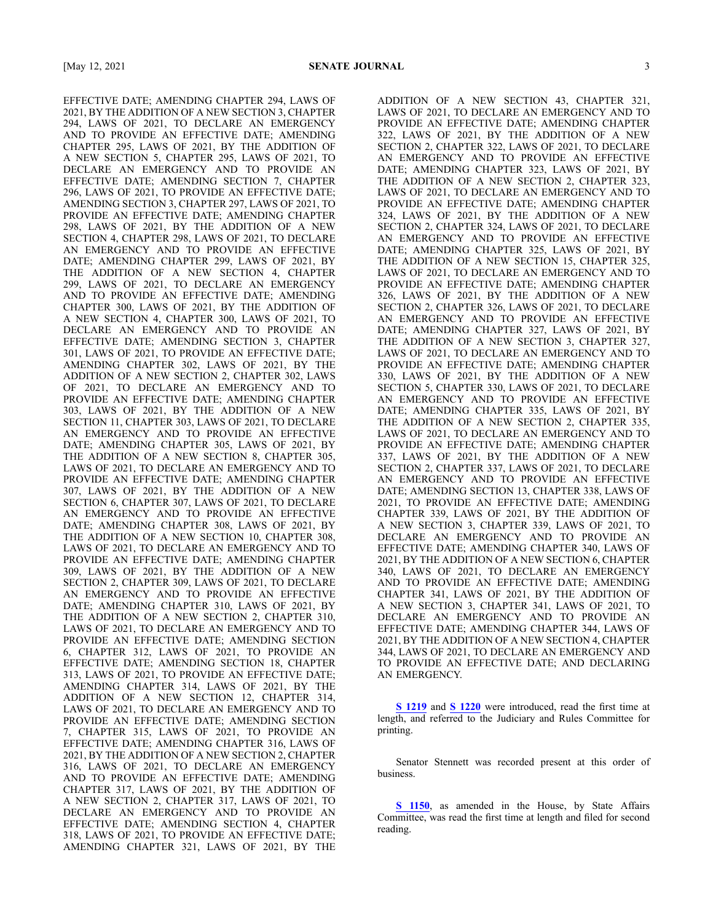EFFECTIVE DATE; AMENDING CHAPTER 294, LAWS OF 2021, BY THE ADDITION OF A NEW SECTION 3, CHAPTER 294, LAWS OF 2021, TO DECLARE AN EMERGENCY AND TO PROVIDE AN EFFECTIVE DATE; AMENDING CHAPTER 295, LAWS OF 2021, BY THE ADDITION OF A NEW SECTION 5, CHAPTER 295, LAWS OF 2021, TO DECLARE AN EMERGENCY AND TO PROVIDE AN EFFECTIVE DATE; AMENDING SECTION 7, CHAPTER 296, LAWS OF 2021, TO PROVIDE AN EFFECTIVE DATE; AMENDING SECTION 3, CHAPTER 297, LAWS OF 2021, TO PROVIDE AN EFFECTIVE DATE; AMENDING CHAPTER 298, LAWS OF 2021, BY THE ADDITION OF A NEW SECTION 4, CHAPTER 298, LAWS OF 2021, TO DECLARE AN EMERGENCY AND TO PROVIDE AN EFFECTIVE DATE; AMENDING CHAPTER 299, LAWS OF 2021, BY THE ADDITION OF A NEW SECTION 4, CHAPTER 299, LAWS OF 2021, TO DECLARE AN EMERGENCY AND TO PROVIDE AN EFFECTIVE DATE; AMENDING CHAPTER 300, LAWS OF 2021, BY THE ADDITION OF A NEW SECTION 4, CHAPTER 300, LAWS OF 2021, TO DECLARE AN EMERGENCY AND TO PROVIDE AN EFFECTIVE DATE; AMENDING SECTION 3, CHAPTER 301, LAWS OF 2021, TO PROVIDE AN EFFECTIVE DATE; AMENDING CHAPTER 302, LAWS OF 2021, BY THE ADDITION OF A NEW SECTION 2, CHAPTER 302, LAWS OF 2021, TO DECLARE AN EMERGENCY AND TO PROVIDE AN EFFECTIVE DATE; AMENDING CHAPTER 303, LAWS OF 2021, BY THE ADDITION OF A NEW SECTION 11, CHAPTER 303, LAWS OF 2021, TO DECLARE AN EMERGENCY AND TO PROVIDE AN EFFECTIVE DATE; AMENDING CHAPTER 305, LAWS OF 2021, BY THE ADDITION OF A NEW SECTION 8, CHAPTER 305, LAWS OF 2021, TO DECLARE AN EMERGENCY AND TO PROVIDE AN EFFECTIVE DATE; AMENDING CHAPTER 307, LAWS OF 2021, BY THE ADDITION OF A NEW SECTION 6, CHAPTER 307, LAWS OF 2021, TO DECLARE AN EMERGENCY AND TO PROVIDE AN EFFECTIVE DATE; AMENDING CHAPTER 308, LAWS OF 2021, BY THE ADDITION OF A NEW SECTION 10, CHAPTER 308, LAWS OF 2021, TO DECLARE AN EMERGENCY AND TO PROVIDE AN EFFECTIVE DATE; AMENDING CHAPTER 309, LAWS OF 2021, BY THE ADDITION OF A NEW SECTION 2, CHAPTER 309, LAWS OF 2021, TO DECLARE AN EMERGENCY AND TO PROVIDE AN EFFECTIVE DATE; AMENDING CHAPTER 310, LAWS OF 2021, BY THE ADDITION OF A NEW SECTION 2, CHAPTER 310, LAWS OF 2021, TO DECLARE AN EMERGENCY AND TO PROVIDE AN EFFECTIVE DATE; AMENDING SECTION 6, CHAPTER 312, LAWS OF 2021, TO PROVIDE AN EFFECTIVE DATE; AMENDING SECTION 18, CHAPTER 313, LAWS OF 2021, TO PROVIDE AN EFFECTIVE DATE; AMENDING CHAPTER 314, LAWS OF 2021, BY THE ADDITION OF A NEW SECTION 12, CHAPTER 314, LAWS OF 2021, TO DECLARE AN EMERGENCY AND TO PROVIDE AN EFFECTIVE DATE; AMENDING SECTION 7, CHAPTER 315, LAWS OF 2021, TO PROVIDE AN EFFECTIVE DATE; AMENDING CHAPTER 316, LAWS OF 2021, BY THE ADDITION OF A NEW SECTION 2, CHAPTER 316, LAWS OF 2021, TO DECLARE AN EMERGENCY AND TO PROVIDE AN EFFECTIVE DATE; AMENDING CHAPTER 317, LAWS OF 2021, BY THE ADDITION OF A NEW SECTION 2, CHAPTER 317, LAWS OF 2021, TO DECLARE AN EMERGENCY AND TO PROVIDE AN EFFECTIVE DATE; AMENDING SECTION 4, CHAPTER 318, LAWS OF 2021, TO PROVIDE AN EFFECTIVE DATE; AMENDING CHAPTER 321, LAWS OF 2021, BY THE ADDITION OF A NEW SECTION 43, CHAPTER 321, LAWS OF 2021, TO DECLARE AN EMERGENCY AND TO PROVIDE AN EFFECTIVE DATE; AMENDING CHAPTER 322, LAWS OF 2021, BY THE ADDITION OF A NEW SECTION 2, CHAPTER 322, LAWS OF 2021, TO DECLARE AN EMERGENCY AND TO PROVIDE AN EFFECTIVE DATE; AMENDING CHAPTER 323, LAWS OF 2021, BY THE ADDITION OF A NEW SECTION 2, CHAPTER 323, LAWS OF 2021, TO DECLARE AN EMERGENCY AND TO PROVIDE AN EFFECTIVE DATE; AMENDING CHAPTER 324, LAWS OF 2021, BY THE ADDITION OF A NEW SECTION 2, CHAPTER 324, LAWS OF 2021, TO DECLARE AN EMERGENCY AND TO PROVIDE AN EFFECTIVE DATE; AMENDING CHAPTER 325, LAWS OF 2021, BY THE ADDITION OF A NEW SECTION 15, CHAPTER 325, LAWS OF 2021, TO DECLARE AN EMERGENCY AND TO PROVIDE AN EFFECTIVE DATE; AMENDING CHAPTER 326, LAWS OF 2021, BY THE ADDITION OF A NEW SECTION 2, CHAPTER 326, LAWS OF 2021, TO DECLARE AN EMERGENCY AND TO PROVIDE AN EFFECTIVE DATE; AMENDING CHAPTER 327, LAWS OF 2021, BY THE ADDITION OF A NEW SECTION 3, CHAPTER 327, LAWS OF 2021, TO DECLARE AN EMERGENCY AND TO PROVIDE AN EFFECTIVE DATE; AMENDING CHAPTER 330, LAWS OF 2021, BY THE ADDITION OF A NEW SECTION 5, CHAPTER 330, LAWS OF 2021, TO DECLARE AN EMERGENCY AND TO PROVIDE AN EFFECTIVE DATE; AMENDING CHAPTER 335, LAWS OF 2021, BY THE ADDITION OF A NEW SECTION 2, CHAPTER 335, LAWS OF 2021, TO DECLARE AN EMERGENCY AND TO PROVIDE AN EFFECTIVE DATE; AMENDING CHAPTER 337, LAWS OF 2021, BY THE ADDITION OF A NEW SECTION 2, CHAPTER 337, LAWS OF 2021, TO DECLARE AN EMERGENCY AND TO PROVIDE AN EFFECTIVE DATE; AMENDING SECTION 13, CHAPTER 338, LAWS OF 2021, TO PROVIDE AN EFFECTIVE DATE; AMENDING CHAPTER 339, LAWS OF 2021, BY THE ADDITION OF A NEW SECTION 3, CHAPTER 339, LAWS OF 2021, TO DECLARE AN EMERGENCY AND TO PROVIDE AN EFFECTIVE DATE; AMENDING CHAPTER 340, LAWS OF 2021, BY THE ADDITION OF A NEW SECTION 6, CHAPTER 340, LAWS OF 2021, TO DECLARE AN EMERGENCY AND TO PROVIDE AN EFFECTIVE DATE; AMENDING CHAPTER 341, LAWS OF 2021, BY THE ADDITION OF A NEW SECTION 3, CHAPTER 341, LAWS OF 2021, TO DECLARE AN EMERGENCY AND TO PROVIDE AN EFFECTIVE DATE; AMENDING CHAPTER 344, LAWS OF 2021, BY THE ADDITION OF A NEW SECTION 4, CHAPTER 344, LAWS OF 2021, TO DECLARE AN EMERGENCY AND TO PROVIDE AN EFFECTIVE DATE; AND DECLARING AN EMERGENCY.

**S [1219](https://lso-legwebwp.lso.local/sessioninfo/2021/legislation/S1219)** and **S [1220](https://lso-legwebwp.lso.local/sessioninfo/2021/legislation/S1220)** were introduced, read the first time at length, and referred to the Judiciary and Rules Committee for printing.

Senator Stennett was recorded presen<sup>t</sup> at this order of business.

**S [1150](https://lso-legwebwp.lso.local/sessioninfo/2021/legislation/S1150)**, as amended in the House, by State Affairs Committee, was read the first time at length and filed for second reading.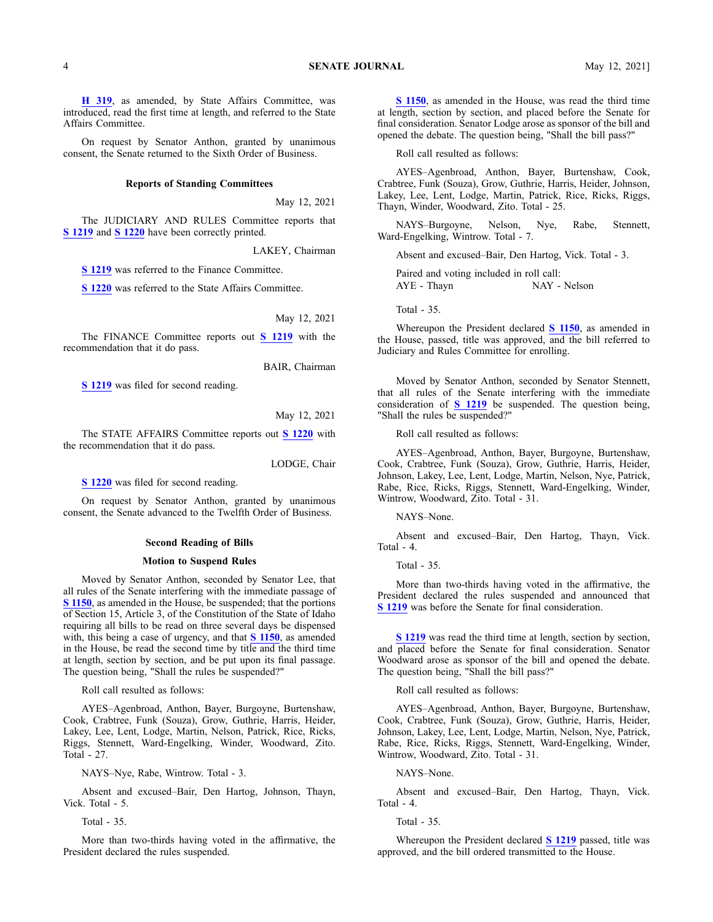**H [319](https://lso-legwebwp.lso.local/sessioninfo/2021/legislation/H0319)**, as amended, by State Affairs Committee, was introduced, read the first time at length, and referred to the State Affairs Committee.

On reques<sup>t</sup> by Senator Anthon, granted by unanimous consent, the Senate returned to the Sixth Order of Business.

## **Reports of Standing Committees**

May 12, 2021

The JUDICIARY AND RULES Committee reports that **S [1219](https://lso-legwebwp.lso.local/sessioninfo/2021/legislation/S1219)** and **S [1220](https://lso-legwebwp.lso.local/sessioninfo/2021/legislation/S1220)** have been correctly printed.

LAKEY, Chairman

**S [1219](https://lso-legwebwp.lso.local/sessioninfo/2021/legislation/S1219)** was referred to the Finance Committee.

**S [1220](https://lso-legwebwp.lso.local/sessioninfo/2021/legislation/S1220)** was referred to the State Affairs Committee.

May 12, 2021

The FINANCE Committee reports out **S [1219](https://lso-legwebwp.lso.local/sessioninfo/2021/legislation/S1219)** with the recommendation that it do pass.

BAIR, Chairman

**S [1219](https://lso-legwebwp.lso.local/sessioninfo/2021/legislation/S1219)** was filed for second reading.

## May 12, 2021

The STATE AFFAIRS Committee reports out **S [1220](https://lso-legwebwp.lso.local/sessioninfo/2021/legislation/S1220)** with the recommendation that it do pass.

LODGE, Chair

**S [1220](https://lso-legwebwp.lso.local/sessioninfo/2021/legislation/S1220)** was filed for second reading.

On reques<sup>t</sup> by Senator Anthon, granted by unanimous consent, the Senate advanced to the Twelfth Order of Business.

#### **Second Reading of Bills**

#### **Motion to Suspend Rules**

Moved by Senator Anthon, seconded by Senator Lee, that all rules of the Senate interfering with the immediate passage of **S [1150](https://lso-legwebwp.lso.local/sessioninfo/2021/legislation/S1150)**, as amended in the House, be suspended; that the portions of Section 15, Article 3, of the Constitution of the State of Idaho requiring all bills to be read on three several days be dispensed with, this being <sup>a</sup> case of urgency, and that **S [1150](https://lso-legwebwp.lso.local/sessioninfo/2021/legislation/S1150)**, as amended in the House, be read the second time by title and the third time at length, section by section, and be pu<sup>t</sup> upon its final passage. The question being, "Shall the rules be suspended?"

Roll call resulted as follows:

AYES–Agenbroad, Anthon, Bayer, Burgoyne, Burtenshaw, Cook, Crabtree, Funk (Souza), Grow, Guthrie, Harris, Heider, Lakey, Lee, Lent, Lodge, Martin, Nelson, Patrick, Rice, Ricks, Riggs, Stennett, Ward-Engelking, Winder, Woodward, Zito. Total - 27.

NAYS–Nye, Rabe, Wintrow. Total - 3.

Absent and excused–Bair, Den Hartog, Johnson, Thayn, Vick. Total - 5.

Total - 35.

More than two-thirds having voted in the affirmative, the President declared the rules suspended.

**S [1150](https://lso-legwebwp.lso.local/sessioninfo/2021/legislation/S1150)**, as amended in the House, was read the third time at length, section by section, and placed before the Senate for final consideration. Senator Lodge arose as sponsor of the bill and opened the debate. The question being, "Shall the bill pass?"

Roll call resulted as follows:

AYES–Agenbroad, Anthon, Bayer, Burtenshaw, Cook, Crabtree, Funk (Souza), Grow, Guthrie, Harris, Heider, Johnson, Lakey, Lee, Lent, Lodge, Martin, Patrick, Rice, Ricks, Riggs, Thayn, Winder, Woodward, Zito. Total - 25.

NAYS–Burgoyne, Nelson, Nye, Rabe, Stennett, Ward-Engelking, Wintrow. Total - 7.

Absent and excused–Bair, Den Hartog, Vick. Total - 3.

Paired and voting included in roll call: AYE - Thayn NAY - Nelson

Total - 35.

Whereupon the President declared **S [1150](https://lso-legwebwp.lso.local/sessioninfo/2021/legislation/S1150)**, as amended in the House, passed, title was approved, and the bill referred to Judiciary and Rules Committee for enrolling.

Moved by Senator Anthon, seconded by Senator Stennett, that all rules of the Senate interfering with the immediate consideration of **S [1219](https://lso-legwebwp.lso.local/sessioninfo/2021/legislation/S1219)** be suspended. The question being, "Shall the rules be suspended?"

Roll call resulted as follows:

AYES–Agenbroad, Anthon, Bayer, Burgoyne, Burtenshaw, Cook, Crabtree, Funk (Souza), Grow, Guthrie, Harris, Heider, Johnson, Lakey, Lee, Lent, Lodge, Martin, Nelson, Nye, Patrick, Rabe, Rice, Ricks, Riggs, Stennett, Ward-Engelking, Winder, Wintrow, Woodward, Zito. Total - 31.

NAYS–None.

Absent and excused–Bair, Den Hartog, Thayn, Vick. Total - 4.

Total - 35.

More than two-thirds having voted in the affirmative, the President declared the rules suspended and announced that **S [1219](https://lso-legwebwp.lso.local/sessioninfo/2021/legislation/S1219)** was before the Senate for final consideration.

**S [1219](https://lso-legwebwp.lso.local/sessioninfo/2021/legislation/S1219)** was read the third time at length, section by section, and placed before the Senate for final consideration. Senator Woodward arose as sponsor of the bill and opened the debate. The question being, "Shall the bill pass?"

Roll call resulted as follows:

AYES–Agenbroad, Anthon, Bayer, Burgoyne, Burtenshaw, Cook, Crabtree, Funk (Souza), Grow, Guthrie, Harris, Heider, Johnson, Lakey, Lee, Lent, Lodge, Martin, Nelson, Nye, Patrick, Rabe, Rice, Ricks, Riggs, Stennett, Ward-Engelking, Winder, Wintrow, Woodward, Zito. Total - 31.

NAYS–None.

Absent and excused–Bair, Den Hartog, Thayn, Vick. Total - 4.

Total  $-35$ .

Whereupon the President declared **S [1219](https://lso-legwebwp.lso.local/sessioninfo/2021/legislation/S1219)** passed, title was approved, and the bill ordered transmitted to the House.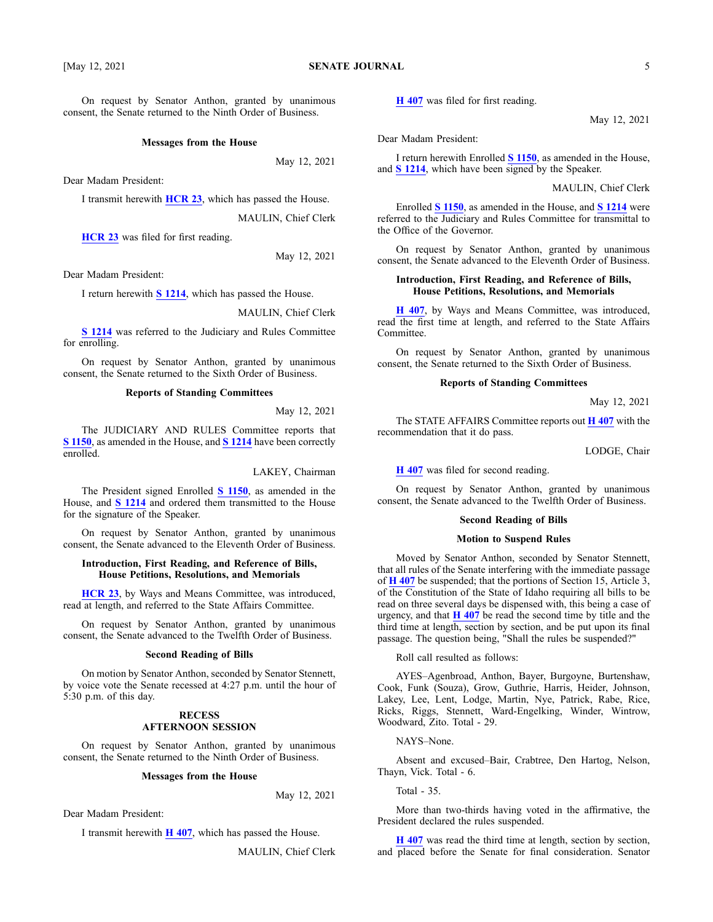On reques<sup>t</sup> by Senator Anthon, granted by unanimous consent, the Senate returned to the Ninth Order of Business.

#### **Messages from the House**

May 12, 2021

Dear Madam President:

I transmit herewith **[HCR](https://legislature.idaho.gov/sessioninfo/2021/legislation/HCR023) 23**, which has passed the House.

MAULIN, Chief Clerk

**[HCR](https://legislature.idaho.gov/sessioninfo/2021/legislation/HCR023) 23** was filed for first reading.

May 12, 2021

Dear Madam President:

I return herewith **S [1214](https://legislature.idaho.gov/sessioninfo/2021/legislation/S1214)**, which has passed the House.

MAULIN, Chief Clerk

**S [1214](https://legislature.idaho.gov/sessioninfo/2021/legislation/S1214)** was referred to the Judiciary and Rules Committee for enrolling.

On reques<sup>t</sup> by Senator Anthon, granted by unanimous consent, the Senate returned to the Sixth Order of Business.

### **Reports of Standing Committees**

May 12, 2021

The JUDICIARY AND RULES Committee reports that **S [1150](https://legislature.idaho.gov/sessioninfo/2021/legislation/S1150)**, as amended in the House, and **S [1214](https://legislature.idaho.gov/sessioninfo/2021/legislation/S1214)** have been correctly enrolled.

LAKEY, Chairman

The President signed Enrolled **S [1150](https://legislature.idaho.gov/sessioninfo/2021/legislation/S1150)**, as amended in the House, and **S [1214](https://legislature.idaho.gov/sessioninfo/2021/legislation/S1214)** and ordered them transmitted to the House for the signature of the Speaker.

On reques<sup>t</sup> by Senator Anthon, granted by unanimous consent, the Senate advanced to the Eleventh Order of Business.

# **Introduction, First Reading, and Reference of Bills, House Petitions, Resolutions, and Memorials**

**[HCR](https://legislature.idaho.gov/sessioninfo/2021/legislation/HCR023) 23**, by Ways and Means Committee, was introduced, read at length, and referred to the State Affairs Committee.

On reques<sup>t</sup> by Senator Anthon, granted by unanimous consent, the Senate advanced to the Twelfth Order of Business.

## **Second Reading of Bills**

On motion by Senator Anthon, seconded by Senator Stennett, by voice vote the Senate recessed at 4:27 p.m. until the hour of 5:30 p.m. of this day.

# **RECESS AFTERNOON SESSION**

On reques<sup>t</sup> by Senator Anthon, granted by unanimous consent, the Senate returned to the Ninth Order of Business.

#### **Messages from the House**

May 12, 2021

Dear Madam President:

I transmit herewith **H [407](https://lso-legwebwp.lso.local/sessioninfo/2021/legislation/H0407)**, which has passed the House.

MAULIN, Chief Clerk

**H [407](https://lso-legwebwp.lso.local/sessioninfo/2021/legislation/H0407)** was filed for first reading.

May 12, 2021

Dear Madam President:

I return herewith Enrolled **S [1150](https://lso-legwebwp.lso.local/sessioninfo/2021/legislation/S1150)**, as amended in the House, and **S [1214](https://lso-legwebwp.lso.local/sessioninfo/2021/legislation/S1214)**, which have been signed by the Speaker.

MAULIN, Chief Clerk

Enrolled **S [1150](https://lso-legwebwp.lso.local/sessioninfo/2021/legislation/S1150)**, as amended in the House, and **S [1214](https://lso-legwebwp.lso.local/sessioninfo/2021/legislation/S1214)** were referred to the Judiciary and Rules Committee for transmittal to the Office of the Governor.

On reques<sup>t</sup> by Senator Anthon, granted by unanimous consent, the Senate advanced to the Eleventh Order of Business.

# **Introduction, First Reading, and Reference of Bills, House Petitions, Resolutions, and Memorials**

**H [407](https://lso-legwebwp.lso.local/sessioninfo/2021/legislation/H0407)**, by Ways and Means Committee, was introduced, read the first time at length, and referred to the State Affairs Committee.

On reques<sup>t</sup> by Senator Anthon, granted by unanimous consent, the Senate returned to the Sixth Order of Business.

# **Reports of Standing Committees**

May 12, 2021

The STATE AFFAIRS Committee reports out **[H407](https://lso-legwebwp.lso.local/sessioninfo/2021/legislation/H0407)** with the recommendation that it do pass.

LODGE, Chair

**H [407](https://lso-legwebwp.lso.local/sessioninfo/2021/legislation/H0407)** was filed for second reading.

On reques<sup>t</sup> by Senator Anthon, granted by unanimous consent, the Senate advanced to the Twelfth Order of Business.

## **Second Reading of Bills**

## **Motion to Suspend Rules**

Moved by Senator Anthon, seconded by Senator Stennett, that all rules of the Senate interfering with the immediate passage of **H [407](https://lso-legwebwp.lso.local/sessioninfo/2021/legislation/H0407)** be suspended; that the portions of Section 15, Article 3, of the Constitution of the State of Idaho requiring all bills to be read on three several days be dispensed with, this being <sup>a</sup> case of urgency, and that **H [407](https://lso-legwebwp.lso.local/sessioninfo/2021/legislation/H0407)** be read the second time by title and the third time at length, section by section, and be pu<sup>t</sup> upon its final passage. The question being, "Shall the rules be suspended?"

Roll call resulted as follows:

AYES–Agenbroad, Anthon, Bayer, Burgoyne, Burtenshaw, Cook, Funk (Souza), Grow, Guthrie, Harris, Heider, Johnson, Lakey, Lee, Lent, Lodge, Martin, Nye, Patrick, Rabe, Rice, Ricks, Riggs, Stennett, Ward-Engelking, Winder, Wintrow, Woodward, Zito. Total - 29.

NAYS–None.

Absent and excused–Bair, Crabtree, Den Hartog, Nelson, Thayn, Vick. Total - 6.

Total - 35.

More than two-thirds having voted in the affirmative, the President declared the rules suspended.

**H [407](https://lso-legwebwp.lso.local/sessioninfo/2021/legislation/H0407)** was read the third time at length, section by section, and placed before the Senate for final consideration. Senator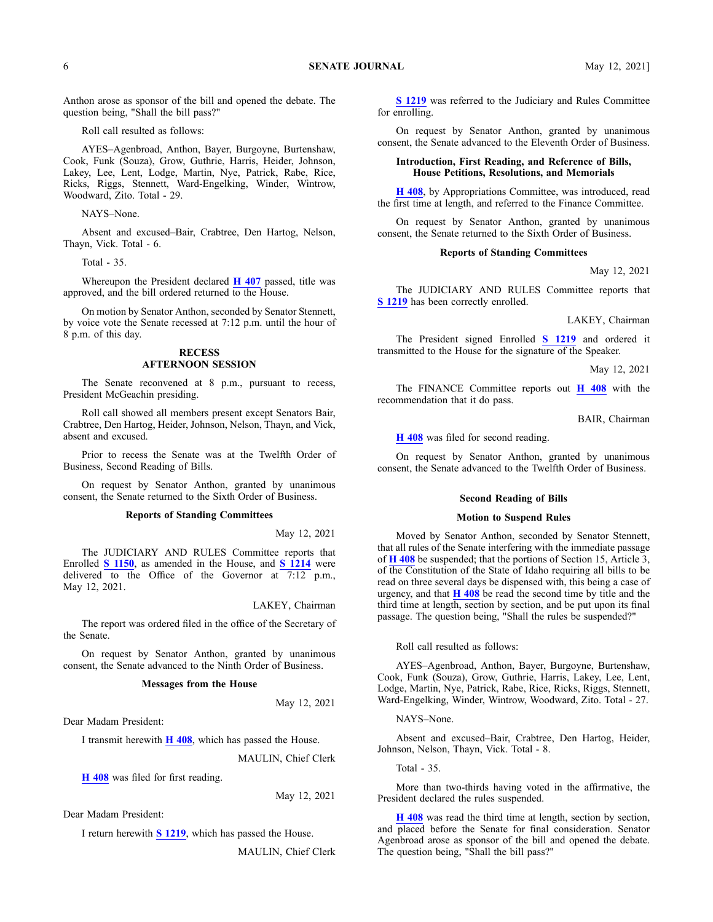Anthon arose as sponsor of the bill and opened the debate. The question being, "Shall the bill pass?"

Roll call resulted as follows:

AYES–Agenbroad, Anthon, Bayer, Burgoyne, Burtenshaw, Cook, Funk (Souza), Grow, Guthrie, Harris, Heider, Johnson, Lakey, Lee, Lent, Lodge, Martin, Nye, Patrick, Rabe, Rice, Ricks, Riggs, Stennett, Ward-Engelking, Winder, Wintrow, Woodward, Zito. Total - 29.

NAYS–None.

Absent and excused–Bair, Crabtree, Den Hartog, Nelson, Thayn, Vick. Total - 6.

Total - 35.

Whereupon the President declared **H [407](https://lso-legwebwp.lso.local/sessioninfo/2021/legislation/H0407)** passed, title was approved, and the bill ordered returned to the House.

On motion by Senator Anthon, seconded by Senator Stennett, by voice vote the Senate recessed at 7:12 p.m. until the hour of 8 p.m. of this day.

## **RECESS AFTERNOON SESSION**

The Senate reconvened at 8 p.m., pursuan<sup>t</sup> to recess, President McGeachin presiding.

Roll call showed all members presen<sup>t</sup> excep<sup>t</sup> Senators Bair, Crabtree, Den Hartog, Heider, Johnson, Nelson, Thayn, and Vick, absent and excused.

Prior to recess the Senate was at the Twelfth Order of Business, Second Reading of Bills.

On reques<sup>t</sup> by Senator Anthon, granted by unanimous consent, the Senate returned to the Sixth Order of Business.

#### **Reports of Standing Committees**

May 12, 2021

The JUDICIARY AND RULES Committee reports that Enrolled **S [1150](https://lso-legwebwp.lso.local/sessioninfo/2021/legislation/S1150)**, as amended in the House, and **S [1214](https://lso-legwebwp.lso.local/sessioninfo/2021/legislation/S1214)** were delivered to the Office of the Governor at  $7:12$  p.m., May 12, 2021.

LAKEY, Chairman

The repor<sup>t</sup> was ordered filed in the office of the Secretary of the Senate.

On reques<sup>t</sup> by Senator Anthon, granted by unanimous consent, the Senate advanced to the Ninth Order of Business.

#### **Messages from the House**

May 12, 2021

Dear Madam President:

I transmit herewith **H [408](https://lso-legwebwp.lso.local/sessioninfo/2021/legislation/H0408)**, which has passed the House.

MAULIN, Chief Clerk

**H [408](https://lso-legwebwp.lso.local/sessioninfo/2021/legislation/H0408)** was filed for first reading.

May 12, 2021

Dear Madam President:

I return herewith **S [1219](https://lso-legwebwp.lso.local/sessioninfo/2021/legislation/S1219)**, which has passed the House.

MAULIN, Chief Clerk

**S [1219](https://lso-legwebwp.lso.local/sessioninfo/2021/legislation/S1219)** was referred to the Judiciary and Rules Committee for enrolling.

On reques<sup>t</sup> by Senator Anthon, granted by unanimous consent, the Senate advanced to the Eleventh Order of Business.

#### **Introduction, First Reading, and Reference of Bills, House Petitions, Resolutions, and Memorials**

**H [408](https://lso-legwebwp.lso.local/sessioninfo/2021/legislation/H0408)**, by Appropriations Committee, was introduced, read the first time at length, and referred to the Finance Committee.

On reques<sup>t</sup> by Senator Anthon, granted by unanimous consent, the Senate returned to the Sixth Order of Business.

#### **Reports of Standing Committees**

May 12, 2021

The JUDICIARY AND RULES Committee reports that **S [1219](https://lso-legwebwp.lso.local/sessioninfo/2021/legislation/S1219)** has been correctly enrolled.

#### LAKEY, Chairman

The President signed Enrolled **S [1219](https://lso-legwebwp.lso.local/sessioninfo/2021/legislation/S1219)** and ordered it transmitted to the House for the signature of the Speaker.

May 12, 2021

The FINANCE Committee reports out **H [408](https://lso-legwebwp.lso.local/sessioninfo/2021/legislation/H0408)** with the recommendation that it do pass.

BAIR, Chairman

**H [408](https://lso-legwebwp.lso.local/sessioninfo/2021/legislation/H0408)** was filed for second reading.

On reques<sup>t</sup> by Senator Anthon, granted by unanimous consent, the Senate advanced to the Twelfth Order of Business.

# **Second Reading of Bills**

# **Motion to Suspend Rules**

Moved by Senator Anthon, seconded by Senator Stennett, that all rules of the Senate interfering with the immediate passage of **H [408](https://lso-legwebwp.lso.local/sessioninfo/2021/legislation/H0408)** be suspended; that the portions of Section 15, Article 3, of the Constitution of the State of Idaho requiring all bills to be read on three several days be dispensed with, this being <sup>a</sup> case of urgency, and that **H [408](https://lso-legwebwp.lso.local/sessioninfo/2021/legislation/H0408)** be read the second time by title and the third time at length, section by section, and be pu<sup>t</sup> upon its final passage. The question being, "Shall the rules be suspended?"

Roll call resulted as follows:

AYES–Agenbroad, Anthon, Bayer, Burgoyne, Burtenshaw, Cook, Funk (Souza), Grow, Guthrie, Harris, Lakey, Lee, Lent, Lodge, Martin, Nye, Patrick, Rabe, Rice, Ricks, Riggs, Stennett, Ward-Engelking, Winder, Wintrow, Woodward, Zito. Total - 27.

NAYS–None.

Absent and excused–Bair, Crabtree, Den Hartog, Heider, Johnson, Nelson, Thayn, Vick. Total - 8.

Total - 35.

More than two-thirds having voted in the affirmative, the President declared the rules suspended.

**H [408](https://lso-legwebwp.lso.local/sessioninfo/2021/legislation/H0408)** was read the third time at length, section by section, and placed before the Senate for final consideration. Senator Agenbroad arose as sponsor of the bill and opened the debate. The question being, "Shall the bill pass?"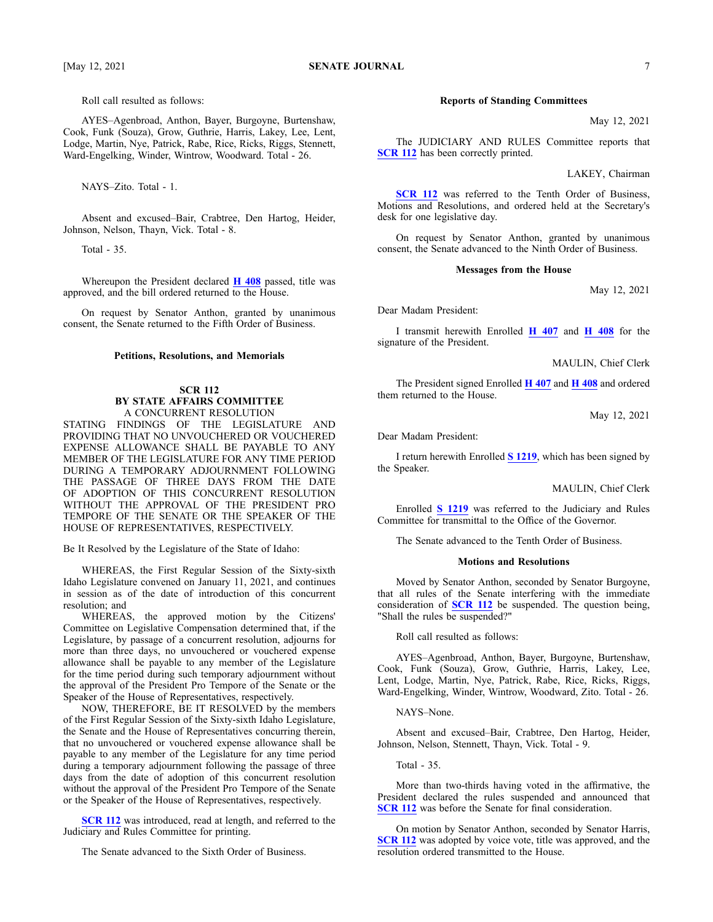Roll call resulted as follows:

AYES–Agenbroad, Anthon, Bayer, Burgoyne, Burtenshaw, Cook, Funk (Souza), Grow, Guthrie, Harris, Lakey, Lee, Lent, Lodge, Martin, Nye, Patrick, Rabe, Rice, Ricks, Riggs, Stennett, Ward-Engelking, Winder, Wintrow, Woodward. Total - 26.

NAYS–Zito. Total - 1.

Absent and excused–Bair, Crabtree, Den Hartog, Heider, Johnson, Nelson, Thayn, Vick. Total - 8.

Total - 35.

Whereupon the President declared **H [408](https://lso-legwebwp.lso.local/sessioninfo/2021/legislation/H0408)** passed, title was approved, and the bill ordered returned to the House.

On reques<sup>t</sup> by Senator Anthon, granted by unanimous consent, the Senate returned to the Fifth Order of Business.

#### **Petitions, Resolutions, and Memorials**

## **SCR 112 BY STATE AFFAIRS COMMITTEE** A CONCURRENT RESOLUTION

STATING FINDINGS OF THE LEGISLATURE AND PROVIDING THAT NO UNVOUCHERED OR VOUCHERED EXPENSE ALLOWANCE SHALL BE PAYABLE TO ANY MEMBER OF THE LEGISLATURE FOR ANY TIME PERIOD DURING A TEMPORARY ADJOURNMENT FOLLOWING THE PASSAGE OF THREE DAYS FROM THE DATE OF ADOPTION OF THIS CONCURRENT RESOLUTION WITHOUT THE APPROVAL OF THE PRESIDENT PRO TEMPORE OF THE SENATE OR THE SPEAKER OF THE HOUSE OF REPRESENTATIVES, RESPECTIVELY.

Be It Resolved by the Legislature of the State of Idaho:

WHEREAS, the First Regular Session of the Sixty-sixth Idaho Legislature convened on January 11, 2021, and continues in session as of the date of introduction of this concurrent resolution; and

WHEREAS, the approved motion by the Citizens' Committee on Legislative Compensation determined that, if the Legislature, by passage of <sup>a</sup> concurrent resolution, adjourns for more than three days, no unvouchered or vouchered expense allowance shall be payable to any member of the Legislature for the time period during such temporary adjournment without the approval of the President Pro Tempore of the Senate or the Speaker of the House of Representatives, respectively.

NOW, THEREFORE, BE IT RESOLVED by the members of the First Regular Session of the Sixty-sixth Idaho Legislature, the Senate and the House of Representatives concurring therein, that no unvouchered or vouchered expense allowance shall be payable to any member of the Legislature for any time period during <sup>a</sup> temporary adjournment following the passage of three days from the date of adoption of this concurrent resolution without the approval of the President Pro Tempore of the Senate or the Speaker of the House of Representatives, respectively.

**[SCR](https://lso-legwebwp.lso.local/sessioninfo/2021/legislation/SCR112) 112** was introduced, read at length, and referred to the Judiciary and Rules Committee for printing.

The Senate advanced to the Sixth Order of Business.

# **Reports of Standing Committees**

May 12, 2021

The JUDICIARY AND RULES Committee reports that **[SCR](https://lso-legwebwp.lso.local/sessioninfo/2021/legislation/SCR112) 112** has been correctly printed.

LAKEY, Chairman

**[SCR](https://lso-legwebwp.lso.local/sessioninfo/2021/legislation/SCR112) 112** was referred to the Tenth Order of Business, Motions and Resolutions, and ordered held at the Secretary's desk for one legislative day.

On reques<sup>t</sup> by Senator Anthon, granted by unanimous consent, the Senate advanced to the Ninth Order of Business.

#### **Messages from the House**

May 12, 2021

Dear Madam President:

I transmit herewith Enrolled **H [407](https://lso-legwebwp.lso.local/sessioninfo/2021/legislation/H0407)** and **H [408](https://lso-legwebwp.lso.local/sessioninfo/2021/legislation/H0408)** for the signature of the President.

MAULIN, Chief Clerk

The President signed Enrolled **H [407](https://lso-legwebwp.lso.local/sessioninfo/2021/legislation/H0407)** and **H [408](https://lso-legwebwp.lso.local/sessioninfo/2021/legislation/H0408)** and ordered them returned to the House.

May 12, 2021

Dear Madam President:

I return herewith Enrolled **S [1219](https://lso-legwebwp.lso.local/sessioninfo/2021/legislation/S1219)**, which has been signed by the Speaker.

MAULIN, Chief Clerk

Enrolled **S [1219](https://lso-legwebwp.lso.local/sessioninfo/2021/legislation/S1219)** was referred to the Judiciary and Rules Committee for transmittal to the Office of the Governor.

The Senate advanced to the Tenth Order of Business.

## **Motions and Resolutions**

Moved by Senator Anthon, seconded by Senator Burgoyne, that all rules of the Senate interfering with the immediate consideration of **[SCR](https://lso-legwebwp.lso.local/sessioninfo/2021/legislation/SCR112) 112** be suspended. The question being, "Shall the rules be suspended?"

Roll call resulted as follows:

AYES–Agenbroad, Anthon, Bayer, Burgoyne, Burtenshaw, Cook, Funk (Souza), Grow, Guthrie, Harris, Lakey, Lee, Lent, Lodge, Martin, Nye, Patrick, Rabe, Rice, Ricks, Riggs, Ward-Engelking, Winder, Wintrow, Woodward, Zito. Total - 26.

NAYS–None.

Absent and excused–Bair, Crabtree, Den Hartog, Heider, Johnson, Nelson, Stennett, Thayn, Vick. Total - 9.

Total - 35.

More than two-thirds having voted in the affirmative, the President declared the rules suspended and announced that **[SCR](https://lso-legwebwp.lso.local/sessioninfo/2021/legislation/SCR112) 112** was before the Senate for final consideration.

On motion by Senator Anthon, seconded by Senator Harris, **[SCR](https://lso-legwebwp.lso.local/sessioninfo/2021/legislation/SCR112) 112** was adopted by voice vote, title was approved, and the resolution ordered transmitted to the House.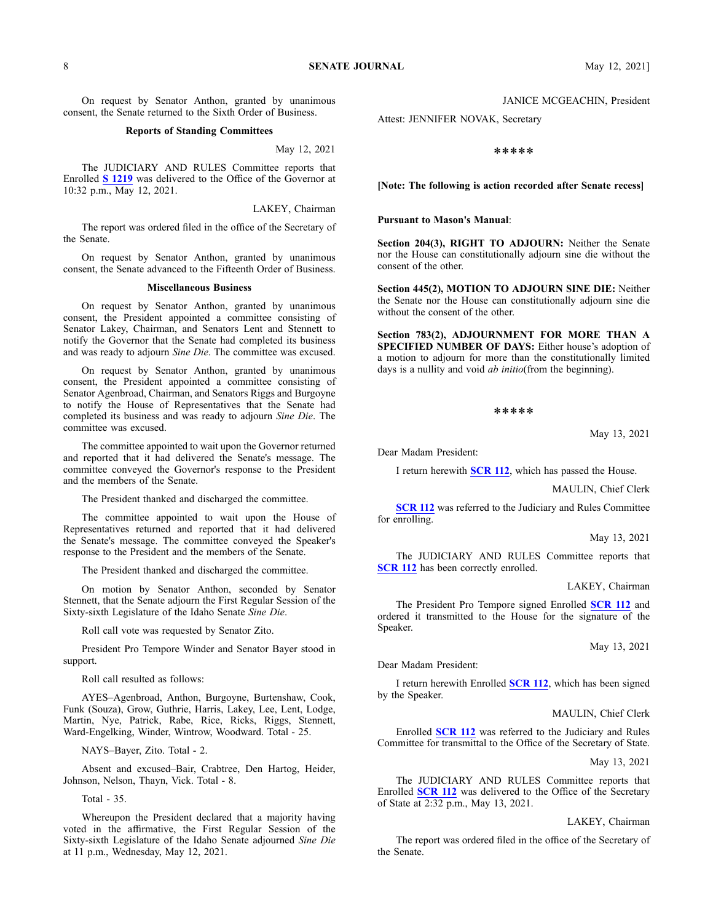# **Reports of Standing Committees**

May 12, 2021

The JUDICIARY AND RULES Committee reports that Enrolled **S [1219](https://lso-legwebwp.lso.local/sessioninfo/2021/legislation/S1219)** was delivered to the Office of the Governor at 10:32 p.m., May 12, 2021.

LAKEY, Chairman

The repor<sup>t</sup> was ordered filed in the office of the Secretary of the Senate.

On reques<sup>t</sup> by Senator Anthon, granted by unanimous consent, the Senate advanced to the Fifteenth Order of Business.

# **Miscellaneous Business**

On reques<sup>t</sup> by Senator Anthon, granted by unanimous consent, the President appointed <sup>a</sup> committee consisting of Senator Lakey, Chairman, and Senators Lent and Stennett to notify the Governor that the Senate had completed its business and was ready to adjourn *Sine Die*. The committee was excused.

On reques<sup>t</sup> by Senator Anthon, granted by unanimous consent, the President appointed <sup>a</sup> committee consisting of Senator Agenbroad, Chairman, and Senators Riggs and Burgoyne to notify the House of Representatives that the Senate had completed its business and was ready to adjourn *Sine Die*. The committee was excused.

The committee appointed to wait upon the Governor returned and reported that it had delivered the Senate's message. The committee conveyed the Governor's response to the President and the members of the Senate.

The President thanked and discharged the committee.

The committee appointed to wait upon the House of Representatives returned and reported that it had delivered the Senate's message. The committee conveyed the Speaker's response to the President and the members of the Senate.

The President thanked and discharged the committee.

On motion by Senator Anthon, seconded by Senator Stennett, that the Senate adjourn the First Regular Session of the Sixty-sixth Legislature of the Idaho Senate *Sine Die*.

Roll call vote was requested by Senator Zito.

President Pro Tempore Winder and Senator Bayer stood in support.

Roll call resulted as follows:

AYES–Agenbroad, Anthon, Burgoyne, Burtenshaw, Cook, Funk (Souza), Grow, Guthrie, Harris, Lakey, Lee, Lent, Lodge, Martin, Nye, Patrick, Rabe, Rice, Ricks, Riggs, Stennett, Ward-Engelking, Winder, Wintrow, Woodward. Total - 25.

NAYS–Bayer, Zito. Total - 2.

Absent and excused–Bair, Crabtree, Den Hartog, Heider, Johnson, Nelson, Thayn, Vick. Total - 8.

Total - 35.

Whereupon the President declared that <sup>a</sup> majority having voted in the affirmative, the First Regular Session of the Sixty-sixth Legislature of the Idaho Senate adjourned *Sine Die* at 11 p.m., Wednesday, May 12, 2021.

Attest: JENNIFER NOVAK, Secretary

#### \*\*\*\*\*

**[Note: The following is action recorded after Senate recess]**

#### **Pursuant to Mason's Manual**:

**Section 204(3), RIGHT TO ADJOURN:** Neither the Senate nor the House can constitutionally adjourn sine die without the consent of the other.

**Section 445(2), MOTION TO ADJOURN SINE DIE:** Neither the Senate nor the House can constitutionally adjourn sine die without the consent of the other.

**Section 783(2), ADJOURNMENT FOR MORE THAN A SPECIFIED NUMBER OF DAYS:** Either house's adoption of <sup>a</sup> motion to adjourn for more than the constitutionally limited days is <sup>a</sup> nullity and void *ab initio*(from the beginning).

#### \*\*\*\*\*

May 13, 2021

Dear Madam President:

I return herewith **[SCR](https://lso-legwebwp.lso.local/sessioninfo/2021/legislation/SCR112) 112**, which has passed the House.

MAULIN, Chief Clerk

**[SCR](https://lso-legwebwp.lso.local/sessioninfo/2021/legislation/SCR112) 112** was referred to the Judiciary and Rules Committee for enrolling.

May 13, 2021

The JUDICIARY AND RULES Committee reports that **[SCR](https://lso-legwebwp.lso.local/sessioninfo/2021/legislation/SCR112) 112** has been correctly enrolled.

LAKEY, Chairman

The President Pro Tempore signed Enrolled **[SCR](https://lso-legwebwp.lso.local/sessioninfo/2021/legislation/SCR112) 112** and ordered it transmitted to the House for the signature of the Speaker.

May 13, 2021

Dear Madam President:

I return herewith Enrolled **[SCR](https://lso-legwebwp.lso.local/sessioninfo/2021/legislation/SCR112) 112**, which has been signed by the Speaker.

MAULIN, Chief Clerk

Enrolled **[SCR](https://lso-legwebwp.lso.local/sessioninfo/2021/legislation/SCR112) 112** was referred to the Judiciary and Rules Committee for transmittal to the Office of the Secretary of State.

May 13, 2021

The JUDICIARY AND RULES Committee reports that Enrolled **[SCR](https://lso-legwebwp.lso.local/sessioninfo/2021/legislation/SCR112) 112** was delivered to the Office of the Secretary of State at 2:32 p.m., May 13, 2021.

# LAKEY, Chairman

The repor<sup>t</sup> was ordered filed in the office of the Secretary of the Senate.